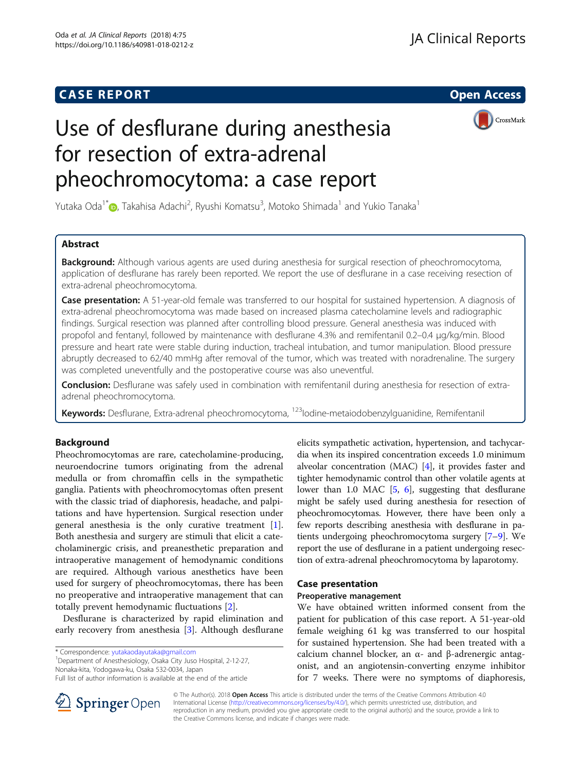# **CASE REPORT And SERVICE SERVICE SERVICE SERVICE SERVICE SERVICE SERVICE SERVICE SERVICE SERVICE SERVICE SERVICE**

CrossMark

# Use of desflurane during anesthesia for resection of extra-adrenal pheochromocytoma: a case report

Yutaka Oda<sup>1[\\*](http://orcid.org/0000-0002-1111-7162)</sup>©, Takahisa Adachi<sup>2</sup>, Ryushi Komatsu<sup>3</sup>, Motoko Shimada<sup>1</sup> and Yukio Tanaka<sup>1</sup>

# Abstract

**Background:** Although various agents are used during anesthesia for surgical resection of pheochromocytoma, application of desflurane has rarely been reported. We report the use of desflurane in a case receiving resection of extra-adrenal pheochromocytoma.

Case presentation: A 51-year-old female was transferred to our hospital for sustained hypertension. A diagnosis of extra-adrenal pheochromocytoma was made based on increased plasma catecholamine levels and radiographic findings. Surgical resection was planned after controlling blood pressure. General anesthesia was induced with propofol and fentanyl, followed by maintenance with desflurane 4.3% and remifentanil 0.2–0.4 μg/kg/min. Blood pressure and heart rate were stable during induction, tracheal intubation, and tumor manipulation. Blood pressure abruptly decreased to 62/40 mmHg after removal of the tumor, which was treated with noradrenaline. The surgery was completed uneventfully and the postoperative course was also uneventful.

Conclusion: Desflurane was safely used in combination with remifentanil during anesthesia for resection of extraadrenal pheochromocytoma.

**Keywords:** Desflurane, Extra-adrenal pheochromocytoma, <sup>123</sup>lodine-metaiodobenzylguanidine, Remifentanil

# Background

Pheochromocytomas are rare, catecholamine-producing, neuroendocrine tumors originating from the adrenal medulla or from chromaffin cells in the sympathetic ganglia. Patients with pheochromocytomas often present with the classic triad of diaphoresis, headache, and palpitations and have hypertension. Surgical resection under general anesthesia is the only curative treatment [\[1](#page-3-0)]. Both anesthesia and surgery are stimuli that elicit a catecholaminergic crisis, and preanesthetic preparation and intraoperative management of hemodynamic conditions are required. Although various anesthetics have been used for surgery of pheochromocytomas, there has been no preoperative and intraoperative management that can totally prevent hemodynamic fluctuations [[2](#page-3-0)].

Desflurane is characterized by rapid elimination and early recovery from anesthesia [[3\]](#page-3-0). Although desflurane

\* Correspondence: [yutakaodayutaka@gmail.com](mailto:yutakaodayutaka@gmail.com) <sup>1</sup>

<sup>1</sup>Department of Anesthesiology, Osaka City Juso Hospital, 2-12-27, Nonaka-kita, Yodogawa-ku, Osaka 532-0034, Japan



## Case presentation

### Preoperative management

We have obtained written informed consent from the patient for publication of this case report. A 51-year-old female weighing 61 kg was transferred to our hospital for sustained hypertension. She had been treated with a calcium channel blocker, an α- and β-adrenergic antagonist, and an angiotensin-converting enzyme inhibitor for 7 weeks. There were no symptoms of diaphoresis,



© The Author(s). 2018 Open Access This article is distributed under the terms of the Creative Commons Attribution 4.0 International License ([http://creativecommons.org/licenses/by/4.0/\)](http://creativecommons.org/licenses/by/4.0/), which permits unrestricted use, distribution, and reproduction in any medium, provided you give appropriate credit to the original author(s) and the source, provide a link to the Creative Commons license, and indicate if changes were made.

Full list of author information is available at the end of the article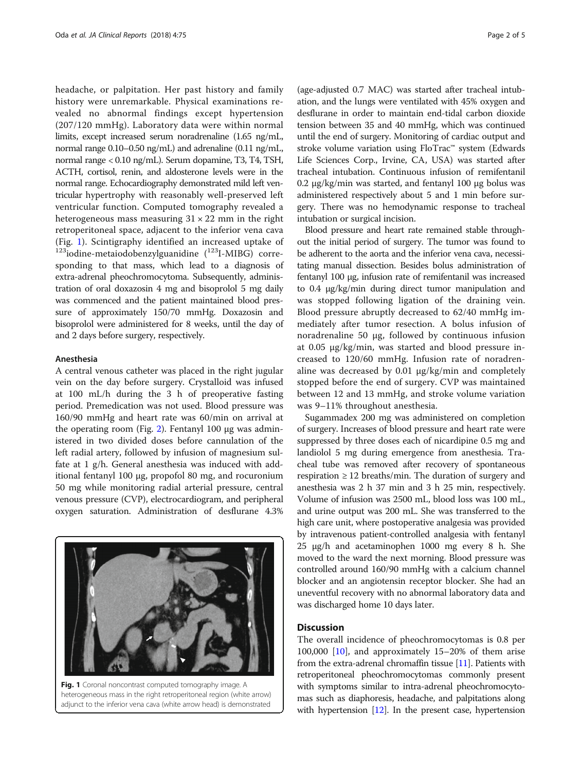headache, or palpitation. Her past history and family history were unremarkable. Physical examinations revealed no abnormal findings except hypertension (207/120 mmHg). Laboratory data were within normal limits, except increased serum noradrenaline (1.65 ng/mL, normal range 0.10–0.50 ng/mL) and adrenaline (0.11 ng/mL, normal range < 0.10 ng/mL). Serum dopamine, T3, T4, TSH, ACTH, cortisol, renin, and aldosterone levels were in the normal range. Echocardiography demonstrated mild left ventricular hypertrophy with reasonably well-preserved left ventricular function. Computed tomography revealed a heterogeneous mass measuring  $31 \times 22$  mm in the right retroperitoneal space, adjacent to the inferior vena cava (Fig. 1). Scintigraphy identified an increased uptake of  $^{123}$ iodine-metaiodobenzylguanidine  $(^{123}I-MIBG)$  corresponding to that mass, which lead to a diagnosis of extra-adrenal pheochromocytoma. Subsequently, administration of oral doxazosin 4 mg and bisoprolol 5 mg daily was commenced and the patient maintained blood pressure of approximately 150/70 mmHg. Doxazosin and bisoprolol were administered for 8 weeks, until the day of and 2 days before surgery, respectively.

### Anesthesia

A central venous catheter was placed in the right jugular vein on the day before surgery. Crystalloid was infused at 100 mL/h during the 3 h of preoperative fasting period. Premedication was not used. Blood pressure was 160/90 mmHg and heart rate was 60/min on arrival at the operating room (Fig. [2](#page-2-0)). Fentanyl 100 μg was administered in two divided doses before cannulation of the left radial artery, followed by infusion of magnesium sulfate at 1 g/h. General anesthesia was induced with additional fentanyl 100 μg, propofol 80 mg, and rocuronium 50 mg while monitoring radial arterial pressure, central venous pressure (CVP), electrocardiogram, and peripheral oxygen saturation. Administration of desflurane 4.3%

Fig. 1 Coronal noncontrast computed tomography image. A heterogeneous mass in the right retroperitoneal region (white arrow) adjunct to the inferior vena cava (white arrow head) is demonstrated

(age-adjusted 0.7 MAC) was started after tracheal intubation, and the lungs were ventilated with 45% oxygen and desflurane in order to maintain end-tidal carbon dioxide tension between 35 and 40 mmHg, which was continued until the end of surgery. Monitoring of cardiac output and stroke volume variation using FloTrac™ system (Edwards Life Sciences Corp., Irvine, CA, USA) was started after tracheal intubation. Continuous infusion of remifentanil 0.2 μg/kg/min was started, and fentanyl 100 μg bolus was administered respectively about 5 and 1 min before surgery. There was no hemodynamic response to tracheal intubation or surgical incision.

Blood pressure and heart rate remained stable throughout the initial period of surgery. The tumor was found to be adherent to the aorta and the inferior vena cava, necessitating manual dissection. Besides bolus administration of fentanyl 100 μg, infusion rate of remifentanil was increased to 0.4 μg/kg/min during direct tumor manipulation and was stopped following ligation of the draining vein. Blood pressure abruptly decreased to 62/40 mmHg immediately after tumor resection. A bolus infusion of noradrenaline 50 μg, followed by continuous infusion at 0.05 μg/kg/min, was started and blood pressure increased to 120/60 mmHg. Infusion rate of noradrenaline was decreased by 0.01 μg/kg/min and completely stopped before the end of surgery. CVP was maintained between 12 and 13 mmHg, and stroke volume variation was 9–11% throughout anesthesia.

Sugammadex 200 mg was administered on completion of surgery. Increases of blood pressure and heart rate were suppressed by three doses each of nicardipine 0.5 mg and landiolol 5 mg during emergence from anesthesia. Tracheal tube was removed after recovery of spontaneous respiration  $\geq 12$  breaths/min. The duration of surgery and anesthesia was 2 h 37 min and 3 h 25 min, respectively. Volume of infusion was 2500 mL, blood loss was 100 mL, and urine output was 200 mL. She was transferred to the high care unit, where postoperative analgesia was provided by intravenous patient-controlled analgesia with fentanyl 25 μg/h and acetaminophen 1000 mg every 8 h. She moved to the ward the next morning. Blood pressure was controlled around 160/90 mmHg with a calcium channel blocker and an angiotensin receptor blocker. She had an uneventful recovery with no abnormal laboratory data and was discharged home 10 days later.

# **Discussion**

The overall incidence of pheochromocytomas is 0.8 per 100,000 [[10\]](#page-3-0), and approximately 15–20% of them arise from the extra-adrenal chromaffin tissue [\[11\]](#page-3-0). Patients with retroperitoneal pheochromocytomas commonly present with symptoms similar to intra-adrenal pheochromocytomas such as diaphoresis, headache, and palpitations along with hypertension [\[12\]](#page-3-0). In the present case, hypertension

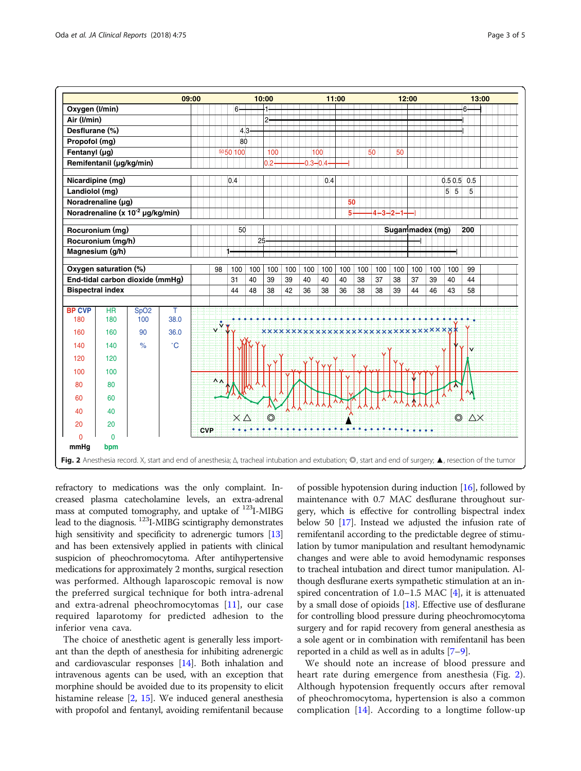<span id="page-2-0"></span>

refractory to medications was the only complaint. Increased plasma catecholamine levels, an extra-adrenal mass at computed tomography, and uptake of  $^{123}$ I-MIBG lead to the diagnosis. <sup>123</sup>I-MIBG scintigraphy demonstrates high sensitivity and specificity to adrenergic tumors [\[13](#page-3-0)] and has been extensively applied in patients with clinical suspicion of pheochromocytoma. After antihypertensive medications for approximately 2 months, surgical resection was performed. Although laparoscopic removal is now the preferred surgical technique for both intra-adrenal and extra-adrenal pheochromocytomas [[11\]](#page-3-0), our case required laparotomy for predicted adhesion to the inferior vena cava.

The choice of anesthetic agent is generally less important than the depth of anesthesia for inhibiting adrenergic and cardiovascular responses [\[14\]](#page-3-0). Both inhalation and intravenous agents can be used, with an exception that morphine should be avoided due to its propensity to elicit histamine release [[2](#page-3-0), [15](#page-3-0)]. We induced general anesthesia with propofol and fentanyl, avoiding remifentanil because

of possible hypotension during induction [[16](#page-3-0)], followed by maintenance with 0.7 MAC desflurane throughout surgery, which is effective for controlling bispectral index below 50 [\[17\]](#page-4-0). Instead we adjusted the infusion rate of remifentanil according to the predictable degree of stimulation by tumor manipulation and resultant hemodynamic changes and were able to avoid hemodynamic responses to tracheal intubation and direct tumor manipulation. Although desflurane exerts sympathetic stimulation at an inspired concentration of  $1.0-1.5$  MAC  $[4]$  $[4]$ , it is attenuated by a small dose of opioids [[18](#page-4-0)]. Effective use of desflurane for controlling blood pressure during pheochromocytoma surgery and for rapid recovery from general anesthesia as a sole agent or in combination with remifentanil has been reported in a child as well as in adults [\[7](#page-3-0)–[9\]](#page-3-0).

We should note an increase of blood pressure and heart rate during emergence from anesthesia (Fig. 2). Although hypotension frequently occurs after removal of pheochromocytoma, hypertension is also a common complication  $[14]$  $[14]$ . According to a longtime follow-up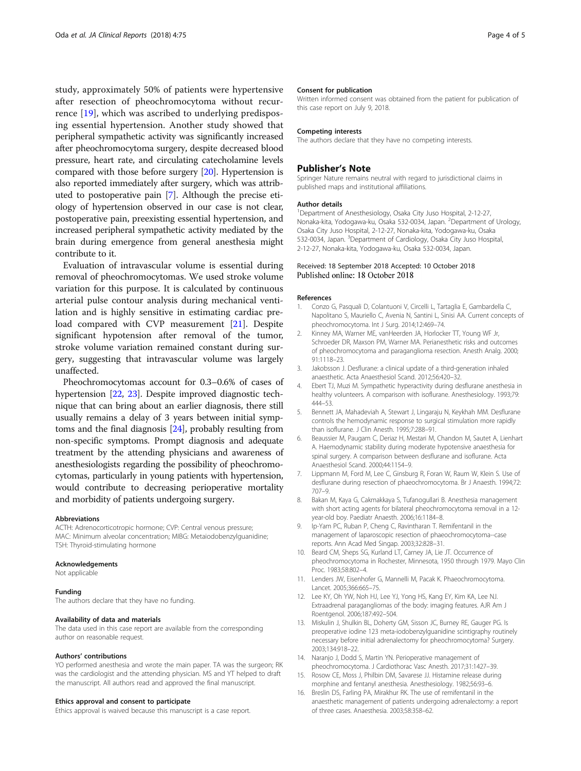<span id="page-3-0"></span>study, approximately 50% of patients were hypertensive after resection of pheochromocytoma without recurrence [[19\]](#page-4-0), which was ascribed to underlying predisposing essential hypertension. Another study showed that peripheral sympathetic activity was significantly increased after pheochromocytoma surgery, despite decreased blood pressure, heart rate, and circulating catecholamine levels compared with those before surgery [\[20\]](#page-4-0). Hypertension is also reported immediately after surgery, which was attributed to postoperative pain [7]. Although the precise etiology of hypertension observed in our case is not clear, postoperative pain, preexisting essential hypertension, and increased peripheral sympathetic activity mediated by the brain during emergence from general anesthesia might contribute to it.

Evaluation of intravascular volume is essential during removal of pheochromocytomas. We used stroke volume variation for this purpose. It is calculated by continuous arterial pulse contour analysis during mechanical ventilation and is highly sensitive in estimating cardiac preload compared with CVP measurement [[21\]](#page-4-0). Despite significant hypotension after removal of the tumor, stroke volume variation remained constant during surgery, suggesting that intravascular volume was largely unaffected.

Pheochromocytomas account for 0.3–0.6% of cases of hypertension [\[22](#page-4-0), [23\]](#page-4-0). Despite improved diagnostic technique that can bring about an earlier diagnosis, there still usually remains a delay of 3 years between initial symptoms and the final diagnosis [\[24\]](#page-4-0), probably resulting from non-specific symptoms. Prompt diagnosis and adequate treatment by the attending physicians and awareness of anesthesiologists regarding the possibility of pheochromocytomas, particularly in young patients with hypertension, would contribute to decreasing perioperative mortality and morbidity of patients undergoing surgery.

#### Abbreviations

ACTH: Adrenocorticotropic hormone; CVP: Central venous pressure; MAC: Minimum alveolar concentration; MIBG: Metaiodobenzylguanidine; TSH: Thyroid-stimulating hormone

#### Acknowledgements

Not applicable

#### Funding

The authors declare that they have no funding.

#### Availability of data and materials

The data used in this case report are available from the corresponding author on reasonable request.

#### Authors' contributions

YO performed anesthesia and wrote the main paper. TA was the surgeon; RK was the cardiologist and the attending physician. MS and YT helped to draft the manuscript. All authors read and approved the final manuscript.

#### Ethics approval and consent to participate

Ethics approval is waived because this manuscript is a case report.

#### Consent for publication

Written informed consent was obtained from the patient for publication of this case report on July 9, 2018.

#### Competing interests

The authors declare that they have no competing interests.

#### Publisher's Note

Springer Nature remains neutral with regard to jurisdictional claims in published maps and institutional affiliations.

#### Author details

<sup>1</sup>Department of Anesthesiology, Osaka City Juso Hospital, 2-12-27 Nonaka-kita, Yodogawa-ku, Osaka 532-0034, Japan. <sup>2</sup>Department of Urology Osaka City Juso Hospital, 2-12-27, Nonaka-kita, Yodogawa-ku, Osaka 532-0034, Japan. <sup>3</sup>Department of Cardiology, Osaka City Juso Hospital 2-12-27, Nonaka-kita, Yodogawa-ku, Osaka 532-0034, Japan.

#### Received: 18 September 2018 Accepted: 10 October 2018 Published online: 18 October 2018

#### References

- 1. Conzo G, Pasquali D, Colantuoni V, Circelli L, Tartaglia E, Gambardella C, Napolitano S, Mauriello C, Avenia N, Santini L, Sinisi AA. Current concepts of pheochromocytoma. Int J Surg. 2014;12:469–74.
- 2. Kinney MA, Warner ME, vanHeerden JA, Horlocker TT, Young WF Jr, Schroeder DR, Maxson PM, Warner MA. Perianesthetic risks and outcomes of pheochromocytoma and paraganglioma resection. Anesth Analg. 2000; 91:1118–23.
- 3. Jakobsson J. Desflurane: a clinical update of a third-generation inhaled anaesthetic. Acta Anaesthesiol Scand. 2012;56:420–32.
- 4. Ebert TJ, Muzi M. Sympathetic hyperactivity during desflurane anesthesia in healthy volunteers. A comparison with isoflurane. Anesthesiology. 1993;79: 444–53.
- 5. Bennett JA, Mahadeviah A, Stewart J, Lingaraju N, Keykhah MM. Desflurane controls the hemodynamic response to surgical stimulation more rapidly than isoflurane. J Clin Anesth. 1995;7:288–91.
- 6. Beaussier M, Paugam C, Deriaz H, Mestari M, Chandon M, Sautet A, Lienhart A. Haemodynamic stability during moderate hypotensive anaesthesia for spinal surgery. A comparison between desflurane and isoflurane. Acta Anaesthesiol Scand. 2000;44:1154–9.
- 7. Lippmann M, Ford M, Lee C, Ginsburg R, Foran W, Raum W, Klein S. Use of desflurane during resection of phaeochromocytoma. Br J Anaesth. 1994;72: 707–9.
- 8. Bakan M, Kaya G, Cakmakkaya S, Tufanogullari B. Anesthesia management with short acting agents for bilateral pheochromocytoma removal in a 12 year-old boy. Paediatr Anaesth. 2006;16:1184–8.
- 9. Ip-Yam PC, Ruban P, Cheng C, Ravintharan T. Remifentanil in the management of laparoscopic resection of phaeochromocytoma--case reports. Ann Acad Med Singap. 2003;32:828–31.
- 10. Beard CM, Sheps SG, Kurland LT, Carney JA, Lie JT. Occurrence of pheochromocytoma in Rochester, Minnesota, 1950 through 1979. Mayo Clin Proc. 1983;58:802–4.
- 11. Lenders JW, Eisenhofer G, Mannelli M, Pacak K. Phaeochromocytoma. Lancet. 2005;366:665–75.
- 12. Lee KY, Oh YW, Noh HJ, Lee YJ, Yong HS, Kang EY, Kim KA, Lee NJ. Extraadrenal paragangliomas of the body: imaging features. AJR Am J Roentgenol. 2006;187:492–504.
- 13. Miskulin J, Shulkin BL, Doherty GM, Sisson JC, Burney RE, Gauger PG. Is preoperative iodine 123 meta-iodobenzylguanidine scintigraphy routinely necessary before initial adrenalectomy for pheochromocytoma? Surgery. 2003;134:918–22.
- 14. Naranjo J, Dodd S, Martin YN. Perioperative management of pheochromocytoma. J Cardiothorac Vasc Anesth. 2017;31:1427–39.
- 15. Rosow CE, Moss J, Philbin DM, Savarese JJ. Histamine release during morphine and fentanyl anesthesia. Anesthesiology. 1982;56:93–6.
- 16. Breslin DS, Farling PA, Mirakhur RK. The use of remifentanil in the anaesthetic management of patients undergoing adrenalectomy: a report of three cases. Anaesthesia. 2003;58:358–62.